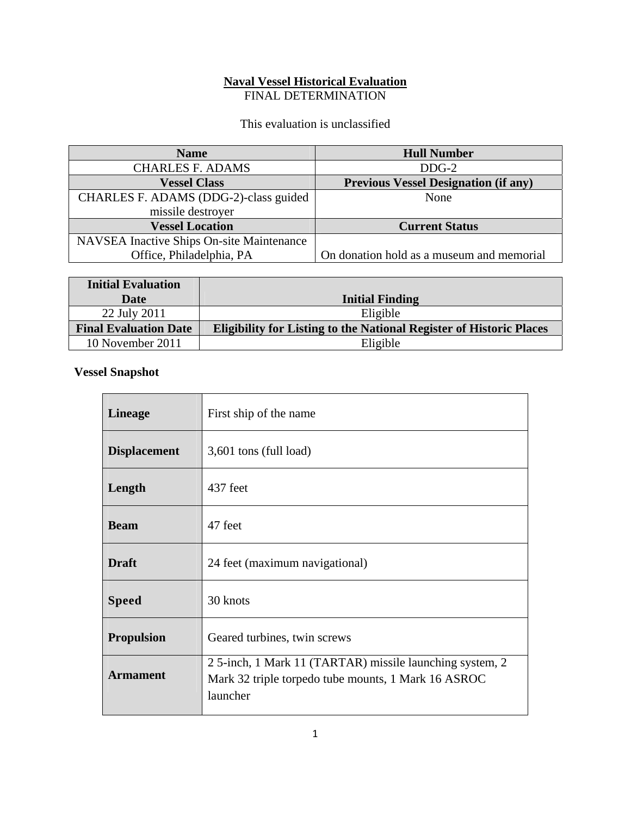## **Naval Vessel Historical Evaluation**  FINAL DETERMINATION

This evaluation is unclassified

| <b>Name</b>                               | <b>Hull Number</b>                          |
|-------------------------------------------|---------------------------------------------|
| <b>CHARLES F. ADAMS</b>                   | $DDG-2$                                     |
| <b>Vessel Class</b>                       | <b>Previous Vessel Designation (if any)</b> |
| CHARLES F. ADAMS (DDG-2)-class guided     | None                                        |
| missile destroyer                         |                                             |
| <b>Vessel Location</b>                    | <b>Current Status</b>                       |
| NAVSEA Inactive Ships On-site Maintenance |                                             |
| Office, Philadelphia, PA                  | On donation hold as a museum and memorial   |

| <b>Initial Evaluation</b>    |                                                                            |
|------------------------------|----------------------------------------------------------------------------|
| <b>Date</b>                  | <b>Initial Finding</b>                                                     |
| 22 July 2011                 | Eligible                                                                   |
| <b>Final Evaluation Date</b> | <b>Eligibility for Listing to the National Register of Historic Places</b> |
| 10 November 2011             | Eligible                                                                   |

## **Vessel Snapshot**

| <b>Lineage</b>      | First ship of the name                                                                                                     |
|---------------------|----------------------------------------------------------------------------------------------------------------------------|
| <b>Displacement</b> | 3,601 tons (full load)                                                                                                     |
| Length              | 437 feet                                                                                                                   |
| <b>Beam</b>         | 47 feet                                                                                                                    |
| <b>Draft</b>        | 24 feet (maximum navigational)                                                                                             |
| <b>Speed</b>        | 30 knots                                                                                                                   |
| <b>Propulsion</b>   | Geared turbines, twin screws                                                                                               |
| <b>Armament</b>     | 25-inch, 1 Mark 11 (TARTAR) missile launching system, 2<br>Mark 32 triple torpedo tube mounts, 1 Mark 16 ASROC<br>launcher |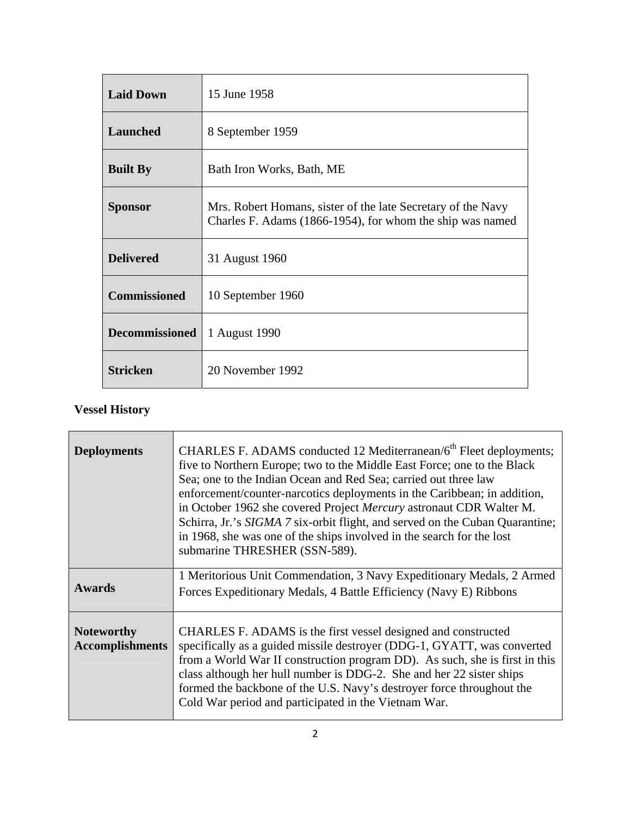| <b>Laid Down</b>      | 15 June 1958                                                                                                              |
|-----------------------|---------------------------------------------------------------------------------------------------------------------------|
| <b>Launched</b>       | 8 September 1959                                                                                                          |
| <b>Built By</b>       | Bath Iron Works, Bath, ME                                                                                                 |
| <b>Sponsor</b>        | Mrs. Robert Homans, sister of the late Secretary of the Navy<br>Charles F. Adams (1866-1954), for whom the ship was named |
| <b>Delivered</b>      | 31 August 1960                                                                                                            |
| <b>Commissioned</b>   | 10 September 1960                                                                                                         |
| <b>Decommissioned</b> | 1 August 1990                                                                                                             |
| <b>Stricken</b>       | 20 November 1992                                                                                                          |

## **Vessel History**

| <b>Deployments</b>                          | CHARLES F. ADAMS conducted 12 Mediterranean/6 <sup>th</sup> Fleet deployments;<br>five to Northern Europe; two to the Middle East Force; one to the Black<br>Sea; one to the Indian Ocean and Red Sea; carried out three law<br>enforcement/counter-narcotics deployments in the Caribbean; in addition,<br>in October 1962 she covered Project Mercury astronaut CDR Walter M.<br>Schirra, Jr.'s SIGMA 7 six-orbit flight, and served on the Cuban Quarantine;<br>in 1968, she was one of the ships involved in the search for the lost<br>submarine THRESHER (SSN-589). |
|---------------------------------------------|---------------------------------------------------------------------------------------------------------------------------------------------------------------------------------------------------------------------------------------------------------------------------------------------------------------------------------------------------------------------------------------------------------------------------------------------------------------------------------------------------------------------------------------------------------------------------|
| <b>Awards</b>                               | 1 Meritorious Unit Commendation, 3 Navy Expeditionary Medals, 2 Armed<br>Forces Expeditionary Medals, 4 Battle Efficiency (Navy E) Ribbons                                                                                                                                                                                                                                                                                                                                                                                                                                |
| <b>Noteworthy</b><br><b>Accomplishments</b> | CHARLES F. ADAMS is the first vessel designed and constructed<br>specifically as a guided missile destroyer (DDG-1, GYATT, was converted<br>from a World War II construction program DD). As such, she is first in this<br>class although her hull number is DDG-2. She and her 22 sister ships<br>formed the backbone of the U.S. Navy's destroyer force throughout the<br>Cold War period and participated in the Vietnam War.                                                                                                                                          |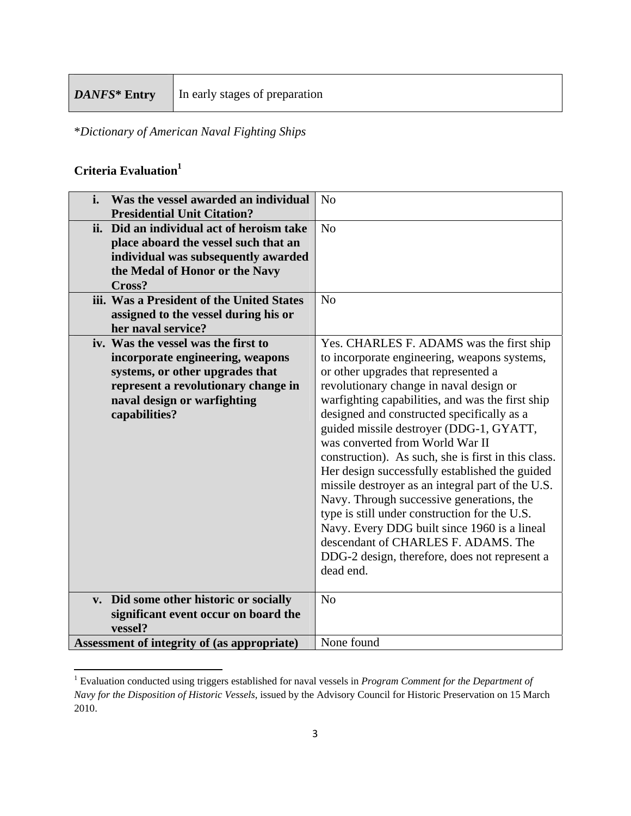\**Dictionary of American Naval Fighting Ships*

## **Criteria Evaluation1**

| Was the vessel awarded an individual<br>i.  | N <sub>o</sub>                                      |
|---------------------------------------------|-----------------------------------------------------|
| <b>Presidential Unit Citation?</b>          |                                                     |
| ii. Did an individual act of heroism take   | N <sub>o</sub>                                      |
| place aboard the vessel such that an        |                                                     |
| individual was subsequently awarded         |                                                     |
| the Medal of Honor or the Navy              |                                                     |
| Cross?                                      |                                                     |
| iii. Was a President of the United States   | N <sub>o</sub>                                      |
| assigned to the vessel during his or        |                                                     |
| her naval service?                          |                                                     |
| iv. Was the vessel was the first to         | Yes. CHARLES F. ADAMS was the first ship            |
| incorporate engineering, weapons            | to incorporate engineering, weapons systems,        |
| systems, or other upgrades that             | or other upgrades that represented a                |
| represent a revolutionary change in         | revolutionary change in naval design or             |
| naval design or warfighting                 | warfighting capabilities, and was the first ship    |
| capabilities?                               | designed and constructed specifically as a          |
|                                             | guided missile destroyer (DDG-1, GYATT,             |
|                                             | was converted from World War II                     |
|                                             | construction). As such, she is first in this class. |
|                                             | Her design successfully established the guided      |
|                                             | missile destroyer as an integral part of the U.S.   |
|                                             | Navy. Through successive generations, the           |
|                                             | type is still under construction for the U.S.       |
|                                             | Navy. Every DDG built since 1960 is a lineal        |
|                                             | descendant of CHARLES F. ADAMS. The                 |
|                                             | DDG-2 design, therefore, does not represent a       |
|                                             | dead end.                                           |
|                                             |                                                     |
| v. Did some other historic or socially      | N <sub>o</sub>                                      |
| significant event occur on board the        |                                                     |
| vessel?                                     |                                                     |
| Assessment of integrity of (as appropriate) | None found                                          |

 1 Evaluation conducted using triggers established for naval vessels in *Program Comment for the Department of Navy for the Disposition of Historic Vessels*, issued by the Advisory Council for Historic Preservation on 15 March 2010.